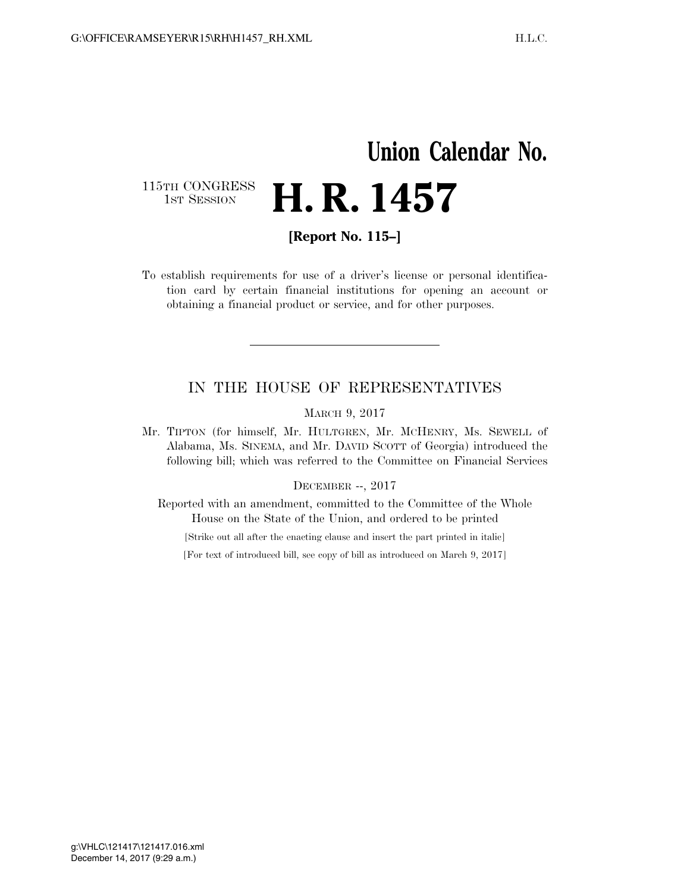## **Union Calendar No.**  115TH CONGRESS<br>1st Session **H. R. 1457**

**[Report No. 115–]** 

To establish requirements for use of a driver's license or personal identification card by certain financial institutions for opening an account or obtaining a financial product or service, and for other purposes.

## IN THE HOUSE OF REPRESENTATIVES

MARCH 9, 2017

Mr. TIPTON (for himself, Mr. HULTGREN, Mr. MCHENRY, Ms. SEWELL of Alabama, Ms. SINEMA, and Mr. DAVID SCOTT of Georgia) introduced the following bill; which was referred to the Committee on Financial Services

## DECEMBER --, 2017

Reported with an amendment, committed to the Committee of the Whole House on the State of the Union, and ordered to be printed

[Strike out all after the enacting clause and insert the part printed in italic]

[For text of introduced bill, see copy of bill as introduced on March 9, 2017]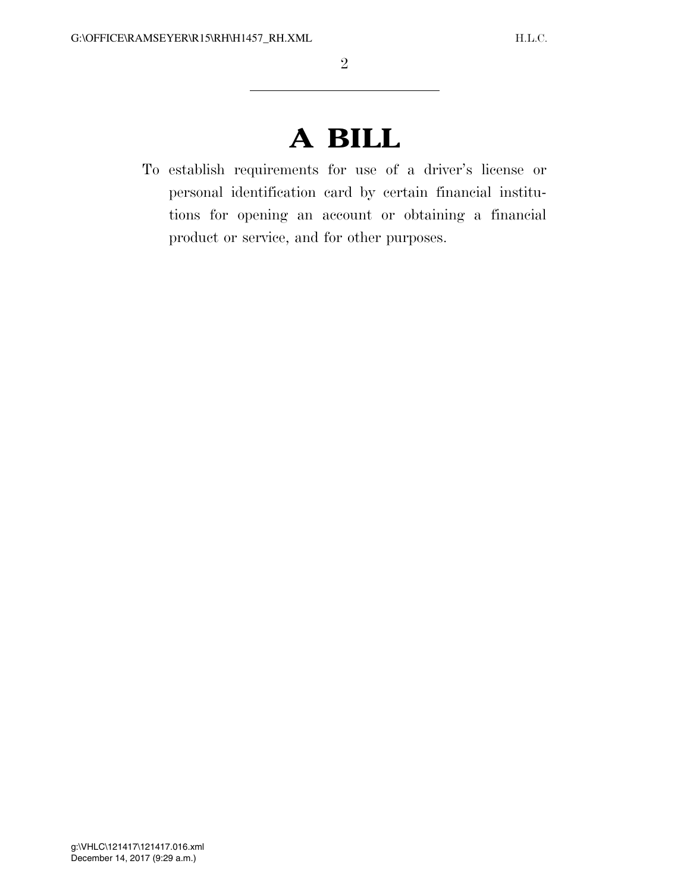## **A BILL**

To establish requirements for use of a driver's license or personal identification card by certain financial institutions for opening an account or obtaining a financial product or service, and for other purposes.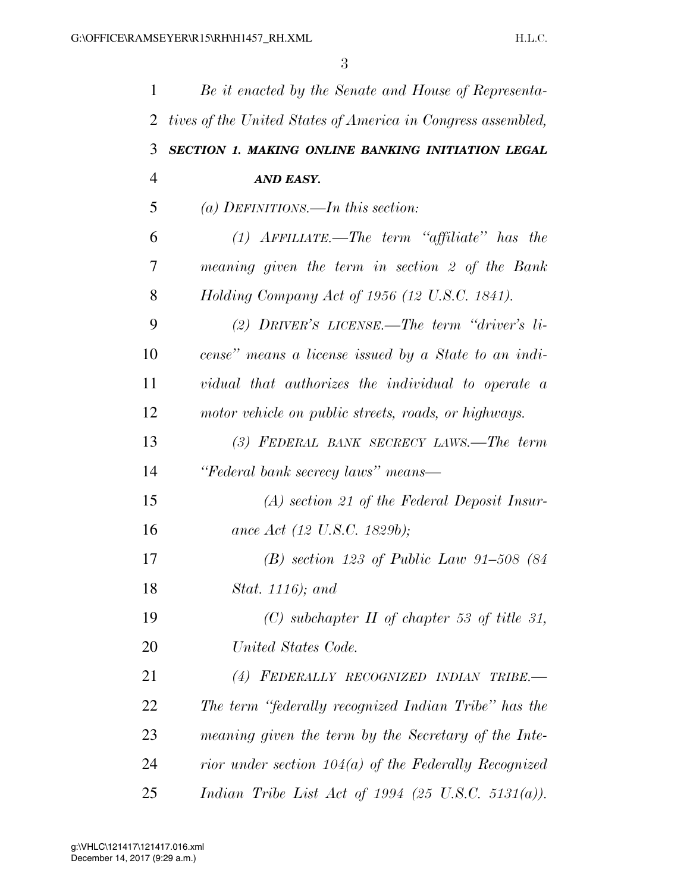| $\mathbf{1}$   | Be it enacted by the Senate and House of Representa-         |
|----------------|--------------------------------------------------------------|
| 2              | tives of the United States of America in Congress assembled, |
| 3              | SECTION 1. MAKING ONLINE BANKING INITIATION LEGAL            |
| $\overline{4}$ | AND EASY.                                                    |
| 5              | (a) DEFINITIONS.—In this section:                            |
| 6              | $(1)$ AFFILIATE.—The term "affiliate" has the                |
| 7              | meaning given the term in section 2 of the Bank              |
| 8              | Holding Company Act of 1956 (12 U.S.C. 1841).                |
| 9              | (2) DRIVER'S LICENSE.—The term "driver's li-                 |
| 10             | cense" means a license issued by a State to an indi-         |
| 11             | vidual that authorizes the individual to operate a           |
| 12             | motor vehicle on public streets, roads, or highways.         |
| 13             | (3) FEDERAL BANK SECRECY LAWS.—The term                      |
| 14             | "Federal bank secrecy laws" means—                           |
| 15             | $(A)$ section 21 of the Federal Deposit Insur-               |
| 16             | ance Act (12 U.S.C. 1829b);                                  |
| 17             | (B) section 123 of Public Law 91-508 (84                     |
| 18             | Stat. 1116); and                                             |
| 19             | (C) subchapter $II$ of chapter 53 of title 31,               |
| 20             | United States Code.                                          |
| 21             | (4) FEDERALLY RECOGNIZED INDIAN TRIBE.-                      |
| 22             | The term "federally recognized Indian Tribe" has the         |
| 23             | meaning given the term by the Secretary of the Inte-         |
| 24             | rior under section $104(a)$ of the Federally Recognized      |
| 25             | Indian Tribe List Act of 1994 (25 U.S.C. 5131(a)).           |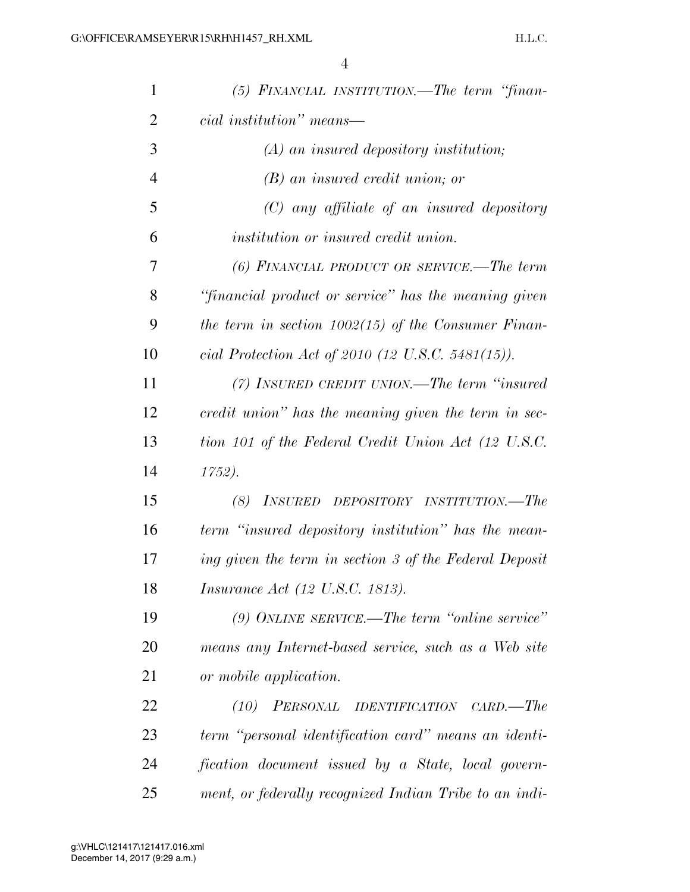| $\mathbf{1}$   | (5) FINANCIAL INSTITUTION.—The term "finan-              |
|----------------|----------------------------------------------------------|
| $\overline{2}$ | cial institution" means—                                 |
| 3              | $(A)$ an insured depository institution;                 |
| $\overline{4}$ | $(B)$ an insured credit union; or                        |
| 5              | $(C)$ any affiliate of an insured depository             |
| 6              | <i>institution or insured credit union.</i>              |
| 7              | (6) FINANCIAL PRODUCT OR SERVICE.—The term               |
| 8              | "financial product or service" has the meaning given     |
| 9              | the term in section $1002(15)$ of the Consumer Finan-    |
| 10             | cial Protection Act of 2010 (12 U.S.C. 5481(15)).        |
| 11             | (7) INSURED CREDIT UNION.—The term "insured"             |
| 12             | credit union" has the meaning given the term in sec-     |
| 13             | tion 101 of the Federal Credit Union Act (12 U.S.C.      |
| 14             | 1752).                                                   |
| 15             | (8)<br>INSURED DEPOSITORY INSTITUTION.—The               |
| 16             | term "insured depository institution" has the mean-      |
| 17             | ing given the term in section 3 of the Federal Deposit   |
| 18             | <i>Insurance Act (12 U.S.C. 1813).</i>                   |
| 19             | $(9)$ ONLINE SERVICE.—The term "online service"          |
| 20             | means any Internet-based service, such as a Web site     |
| 21             | or mobile application.                                   |
| 22             | PERSONAL IDENTIFICATION<br>(10)<br>$\textit{CARD}$ .—The |
| 23             | term "personal identification card" means an identi-     |
| 24             | fication document issued by a State, local govern-       |
| 25             | ment, or federally recognized Indian Tribe to an indi-   |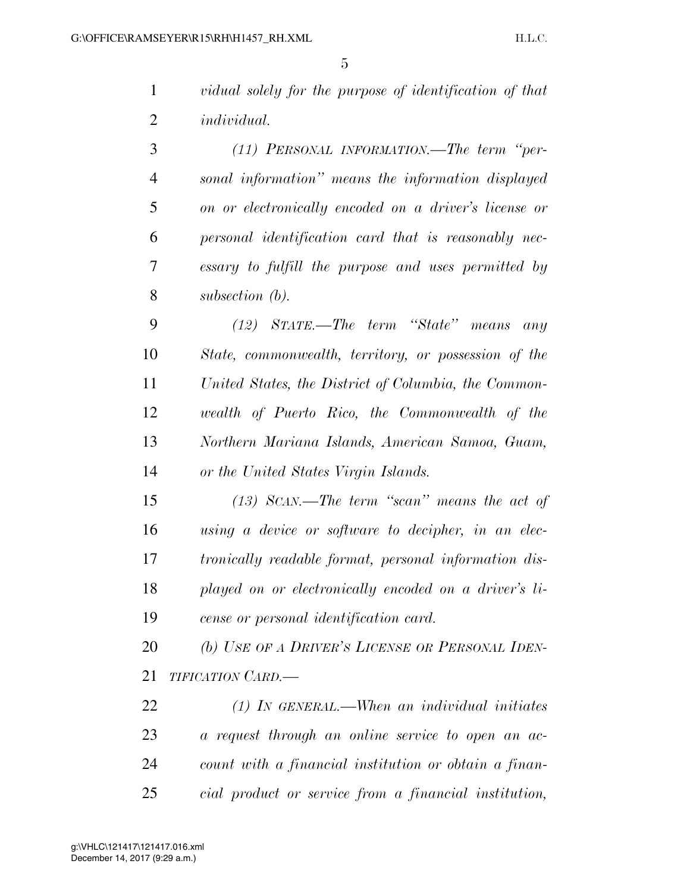|   | vidual solely for the purpose of identification of that |
|---|---------------------------------------------------------|
| 2 | <i>individual.</i>                                      |

 *(11) PERSONAL INFORMATION.—The term ''per- sonal information'' means the information displayed on or electronically encoded on a driver's license or personal identification card that is reasonably nec- essary to fulfill the purpose and uses permitted by subsection (b).* 

 *(12) STATE.—The term ''State'' means any State, commonwealth, territory, or possession of the United States, the District of Columbia, the Common- wealth of Puerto Rico, the Commonwealth of the Northern Mariana Islands, American Samoa, Guam, or the United States Virgin Islands.* 

 *(13) SCAN.—The term ''scan'' means the act of using a device or software to decipher, in an elec- tronically readable format, personal information dis- played on or electronically encoded on a driver's li-cense or personal identification card.* 

 *(b) USE OF A DRIVER'S LICENSE OR PERSONAL IDEN-TIFICATION CARD.—* 

 *(1) IN GENERAL.—When an individual initiates a request through an online service to open an ac- count with a financial institution or obtain a finan-cial product or service from a financial institution,*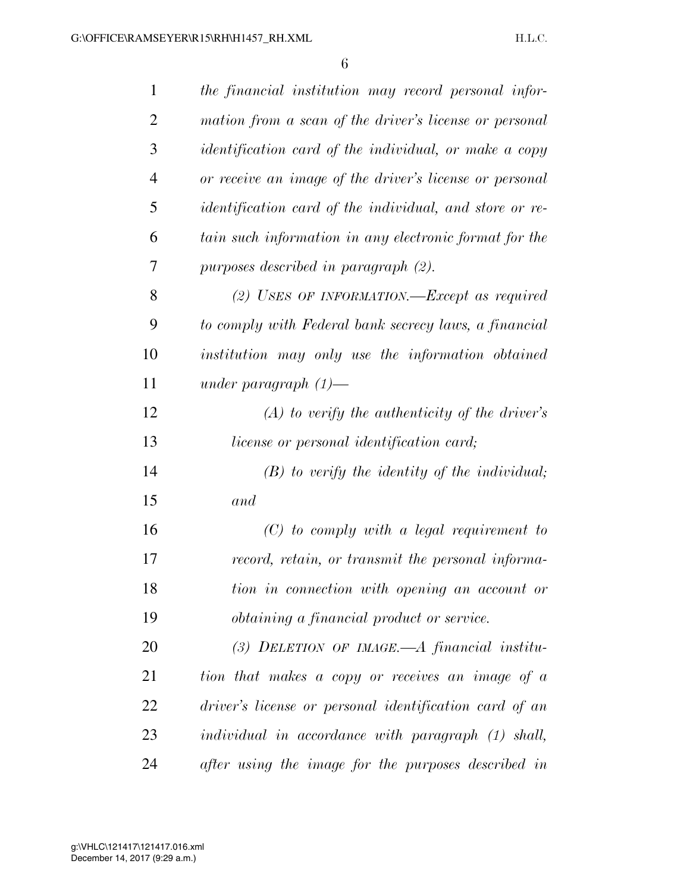| $\mathbf{1}$   | the financial institution may record personal infor-           |
|----------------|----------------------------------------------------------------|
| 2              | mation from a scan of the driver's license or personal         |
| 3              | identification card of the individual, or make a copy          |
| $\overline{4}$ | or receive an image of the driver's license or personal        |
| 5              | <i>identification card of the individual, and store or re-</i> |
| 6              | tain such information in any electronic format for the         |
| 7              | purposes described in paragraph (2).                           |
| 8              | $(2)$ USES OF INFORMATION.—Except as required                  |
| 9              | to comply with Federal bank secrecy laws, a financial          |
| 10             | institution may only use the information obtained              |
| 11             | under paragraph $(1)$ —                                        |
| 12             | $(A)$ to verify the authenticity of the driver's               |
| 13             | <i>license or personal identification card</i> ;               |
| 14             | $(B)$ to verify the identity of the individual;                |
| 15             | and                                                            |
| 16             | $(C)$ to comply with a legal requirement to                    |
| 17             | record, retain, or transmit the personal informa-              |
| 18             | tion in connection with opening an account or                  |
| 19             | <i>obtaining a financial product or service.</i>               |
| 20             | (3) DELETION OF IMAGE.—A financial institu-                    |
| 21             | tion that makes a copy or receives an image of a               |
| 22             | driver's license or personal identification card of an         |
| 23             | individual in accordance with paragraph (1) shall,             |
| 24             | after using the image for the purposes described in            |